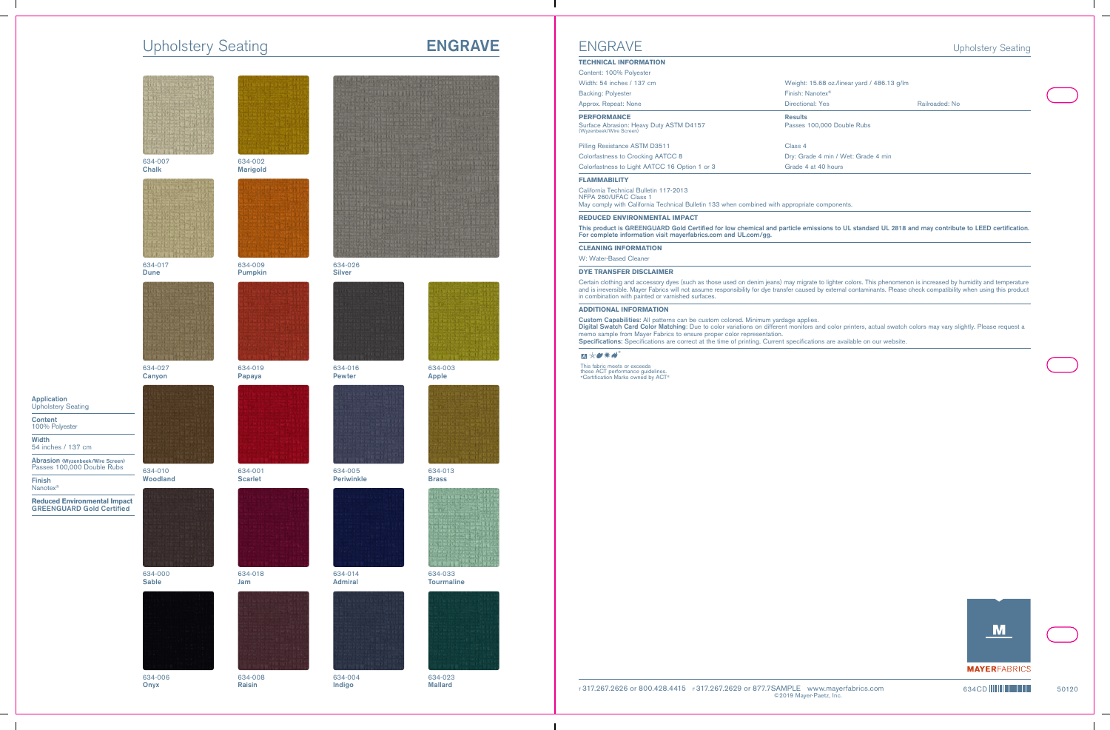# Upholstery Seating **ENGRAVE**





634-007 Chalk



634-017 Dune



634-027 Canyon

Application Upholstery Seating

54 inches / 137 cm

Abrasion (Wyzenbeek/Wire Screen) Passes 100,000 Double Rubs

**Reduced Environmental Impact** GREENGUARD Gold Certified

Content 100% Polyester

Width

Finish Nanotex®



634-010 Woodland



#### 634-000 **Sable**



634-006 **Onyx** 



634-002 Marigold



634-009 Pumpkin



634-019 Papaya



634-001 **Scarlet** 



634-018 Jam



634-008 Raisin



634-026 Silver



634-016 Pewter



634-005 Periwinkle



634-014 Admiral



634-004 Indigo



634-003 Apple



634-013 Brass



634-033 **Tourmaline** 



634-023 Mallard